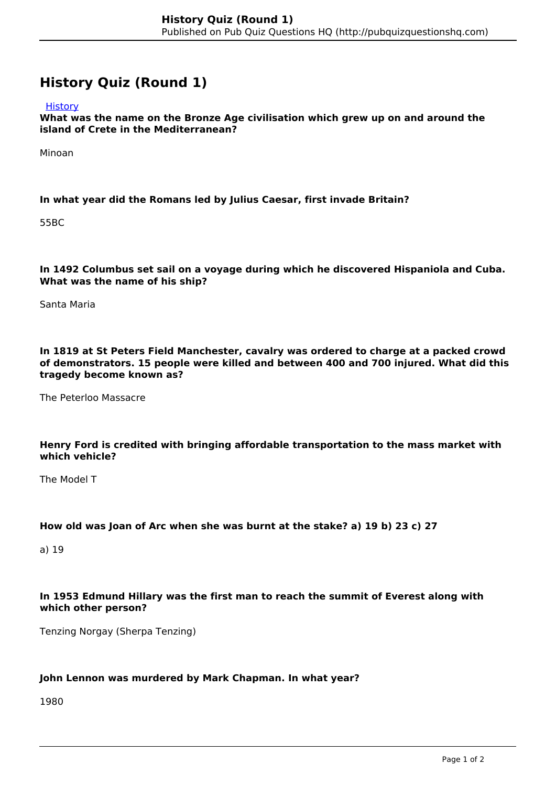# **History Quiz (Round 1)**

**[History](http://pubquizquestionshq.com/categories/history)** 

**What was the name on the Bronze Age civilisation which grew up on and around the island of Crete in the Mediterranean?**

Minoan

### **In what year did the Romans led by Julius Caesar, first invade Britain?**

55BC

#### **In 1492 Columbus set sail on a voyage during which he discovered Hispaniola and Cuba. What was the name of his ship?**

Santa Maria

**In 1819 at St Peters Field Manchester, cavalry was ordered to charge at a packed crowd of demonstrators. 15 people were killed and between 400 and 700 injured. What did this tragedy become known as?**

The Peterloo Massacre

#### **Henry Ford is credited with bringing affordable transportation to the mass market with which vehicle?**

The Model T

#### **How old was Joan of Arc when she was burnt at the stake? a) 19 b) 23 c) 27**

a) 19

## **In 1953 Edmund Hillary was the first man to reach the summit of Everest along with which other person?**

Tenzing Norgay (Sherpa Tenzing)

#### **John Lennon was murdered by Mark Chapman. In what year?**

1980